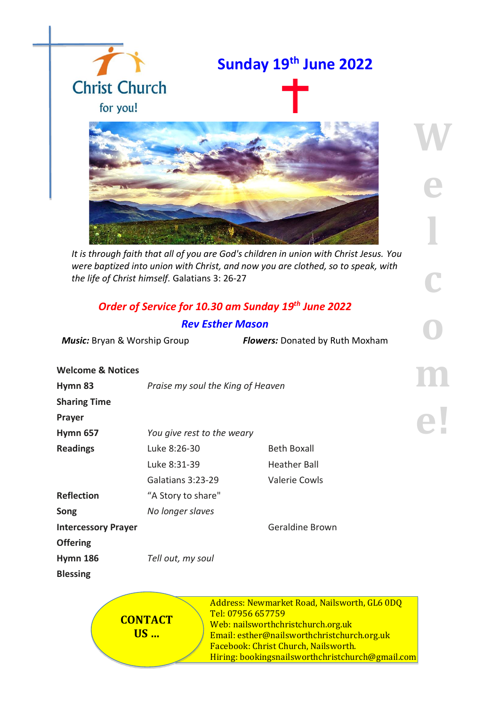

*It is through faith that all of you are God's children in union with Christ Jesus. You were baptized into union with Christ, and now you are clothed, so to speak, with the life of Christ himself.* Galatians 3: 26-27

## *Order of Service for 10.30 am Sunday 19 th June 2022 Rev Esther Mason*

*Music:* Bryan & Worship Group *Flowers:* Donated by Ruth Moxham

**W**

**e**

**l** 

**c**

**o**

| <b>Welcome &amp; Notices</b> |                                   |                        |  |
|------------------------------|-----------------------------------|------------------------|--|
| Hymn 83                      | Praise my soul the King of Heaven |                        |  |
| <b>Sharing Time</b>          |                                   |                        |  |
| Prayer                       |                                   |                        |  |
| <b>Hymn 657</b>              | You give rest to the weary        |                        |  |
| <b>Readings</b>              | Luke 8:26-30                      | <b>Beth Boxall</b>     |  |
|                              | Luke 8:31-39                      | <b>Heather Ball</b>    |  |
|                              | Galatians 3:23-29                 | <b>Valerie Cowls</b>   |  |
| <b>Reflection</b>            | "A Story to share"                |                        |  |
| Song                         | No longer slaves                  |                        |  |
| <b>Intercessory Prayer</b>   |                                   | <b>Geraldine Brown</b> |  |
| <b>Offering</b>              |                                   |                        |  |
| <b>Hymn 186</b>              | Tell out, my soul                 |                        |  |
| <b>Blessing</b>              |                                   |                        |  |
|                              |                                   |                        |  |